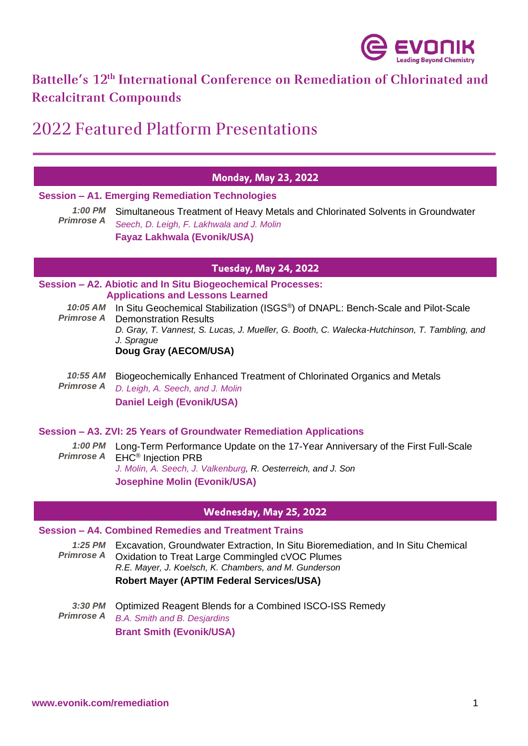

# Battelle's 12<sup>th</sup> International Conference on Remediation of Chlorinated and **Recalcitrant Compounds**

# 2022 Featured Platform Presentations

# **Monday, May 23, 2022**

#### **Session – A1. Emerging Remediation Technologies**

*1:00 PM Primrose A* Simultaneous Treatment of Heavy Metals and Chlorinated Solvents in Groundwater *Seech, D. Leigh, F. Lakhwala and J. Molin*  **Fayaz Lakhwala (Evonik/USA)**

# **Tuesday, May 24, 2022**

#### **Session – A2. Abiotic and In Situ Biogeochemical Processes: Applications and Lessons Learned**

10:05 AM In Situ Geochemical Stabilization (ISGS<sup>®</sup>) of DNAPL: Bench-Scale and Pilot-Scale *Primrose A* Demonstration Results *D. Gray, T. Vannest, S. Lucas, J. Mueller, G. Booth, C. Walecka-Hutchinson, T. Tambling, and J. Sprague* **Doug Gray (AECOM/USA)**

*10:55 AM Primrose A* Biogeochemically Enhanced Treatment of Chlorinated Organics and Metals *D. Leigh, A. Seech, and J. Molin* **Daniel Leigh (Evonik/USA)**

#### **Session – A3. ZVI: 25 Years of Groundwater Remediation Applications**

*1:00 PM*  Long-Term Performance Update on the 17-Year Anniversary of the First Full-Scale *Primrose A* EHC® Injection PRB *J. Molin, A. Seech, J. Valkenburg, R. Oesterreich, and J. Son* **Josephine Molin (Evonik/USA)**

# Wednesday, May 25, 2022

# **Session – A4. Combined Remedies and Treatment Trains**

*1:25 PM Primrose A* Excavation, Groundwater Extraction, In Situ Bioremediation, and In Situ Chemical Oxidation to Treat Large Commingled cVOC Plumes *R.E. Mayer, J. Koelsch, K. Chambers, and M. Gunderson* **Robert Mayer (APTIM Federal Services/USA)**

*3:30 PM Primrose A* Optimized Reagent Blends for a Combined ISCO-ISS Remedy *B.A. Smith and B. Desjardins* **Brant Smith (Evonik/USA)**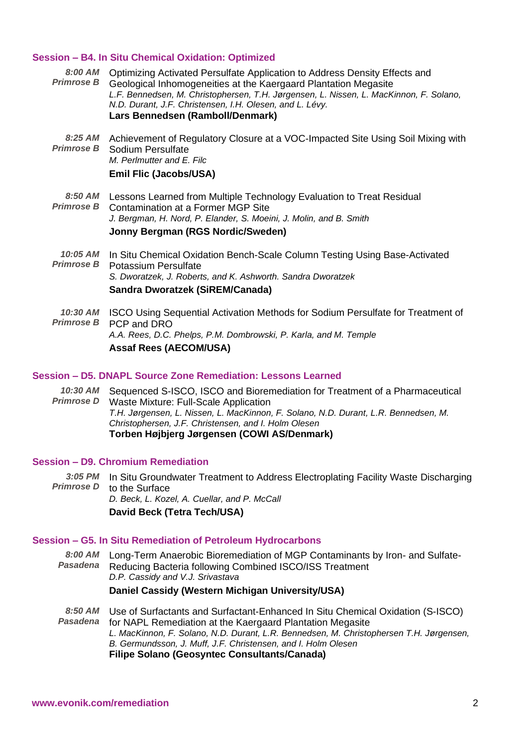#### **Session – B4. In Situ Chemical Oxidation: Optimized**

*8:00 AM* Optimizing Activated Persulfate Application to Address Density Effects and *Primrose B* Geological Inhomogeneities at the Kaergaard Plantation Megasite *L.F. Bennedsen, M. Christophersen, T.H. Jørgensen, L. Nissen, L. MacKinnon, F. Solano, N.D. Durant, J.F. Christensen, I.H. Olesen, and L. Lévy.* **Lars Bennedsen (Ramboll/Denmark)**

*8:25 AM Primrose B* Achievement of Regulatory Closure at a VOC-Impacted Site Using Soil Mixing with Sodium Persulfate *M. Perlmutter and E. Filc* **Emil Flic (Jacobs/USA)**

*8:50 AM Primrose B* Lessons Learned from Multiple Technology Evaluation to Treat Residual Contamination at a Former MGP Site *J. Bergman, H. Nord, P. Elander, S. Moeini, J. Molin, and B. Smith* **Jonny Bergman (RGS Nordic/Sweden)**

*10:05 AM Primrose B* In Situ Chemical Oxidation Bench-Scale Column Testing Using Base-Activated Potassium Persulfate *S. Dworatzek, J. Roberts, and K. Ashworth. Sandra Dworatzek* **Sandra Dworatzek (SiREM/Canada)**

*10:30 AM* ISCO Using Sequential Activation Methods for Sodium Persulfate for Treatment of *Primrose B* PCP and DRO *A.A. Rees, D.C. Phelps, P.M. Dombrowski, P. Karla, and M. Temple* **Assaf Rees (AECOM/USA)**

#### **Session – D5. DNAPL Source Zone Remediation: Lessons Learned**

*10:30 AM* Sequenced S-ISCO, ISCO and Bioremediation for Treatment of a Pharmaceutical *Primrose D* Waste Mixture: Full-Scale Application *T.H. Jørgensen, L. Nissen, L. MacKinnon, F. Solano, N.D. Durant, L.R. Bennedsen, M. Christophersen, J.F. Christensen, and I. Holm Olesen* **Torben Højbjerg Jørgensen (COWI AS/Denmark)**

# **Session – D9. Chromium Remediation**

*3:05 PM* In Situ Groundwater Treatment to Address Electroplating Facility Waste Discharging *Primrose D* to the Surface *D. Beck, L. Kozel, A. Cuellar, and P. McCall* **David Beck (Tetra Tech/USA)**

#### **Session – G5. In Situ Remediation of Petroleum Hydrocarbons**

*8:00 AM* Long-Term Anaerobic Bioremediation of MGP Contaminants by Iron- and Sulfate-*Pasadena* Reducing Bacteria following Combined ISCO/ISS Treatment *D.P. Cassidy and V.J. Srivastava* **Daniel Cassidy (Western Michigan University/USA)**

*8:50 AM Pasadena* Use of Surfactants and Surfactant-Enhanced In Situ Chemical Oxidation (S-ISCO) for NAPL Remediation at the Kaergaard Plantation Megasite *L. MacKinnon, F. Solano, N.D. Durant, L.R. Bennedsen, M. Christophersen T.H. Jørgensen, B. Germundsson, J. Muff, J.F. Christensen, and I. Holm Olesen* **Filipe Solano (Geosyntec Consultants/Canada)**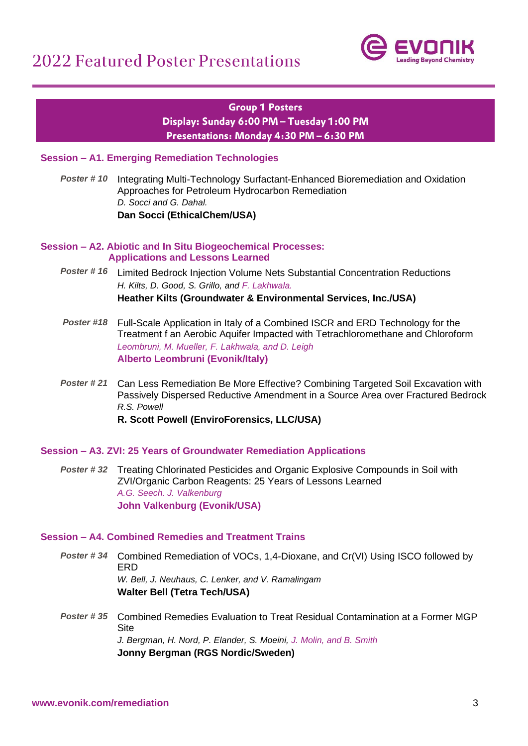

# **Group 1 Posters** Display: Sunday 6:00 PM - Tuesday 1:00 PM Presentations: Monday 4:30 PM - 6:30 PM

# **Session – A1. Emerging Remediation Technologies**

*Poster # 10* Integrating Multi-Technology Surfactant-Enhanced Bioremediation and Oxidation Approaches for Petroleum Hydrocarbon Remediation *D. Socci and G. Dahal.*  **Dan Socci (EthicalChem/USA)**

# **Session – A2. Abiotic and In Situ Biogeochemical Processes:**

# **Applications and Lessons Learned**

- *Poster # 16* Limited Bedrock Injection Volume Nets Substantial Concentration Reductions *H. Kilts, D. Good, S. Grillo, and F. Lakhwala.*  **Heather Kilts (Groundwater & Environmental Services, Inc./USA)**
- *Poster #18* Full-Scale Application in Italy of a Combined ISCR and ERD Technology for the Treatment f an Aerobic Aquifer Impacted with Tetrachloromethane and Chloroform *A. Leombruni, M. Mueller, F. Lakhwala, and D. Leigh* **Alberto Leombruni (Evonik/Italy)**
- *Poster # 21* Can Less Remediation Be More Effective? Combining Targeted Soil Excavation with Passively Dispersed Reductive Amendment in a Source Area over Fractured Bedrock *R.S. Powell*

**R. Scott Powell (EnviroForensics, LLC/USA)**

# **Session – A3. ZVI: 25 Years of Groundwater Remediation Applications**

*Poster # 32* Treating Chlorinated Pesticides and Organic Explosive Compounds in Soil with ZVI/Organic Carbon Reagents: 25 Years of Lessons Learned *A.G. Seech. J. Valkenburg* **John Valkenburg (Evonik/USA)**

# **Session – A4. Combined Remedies and Treatment Trains**

- *Poster # 34* Combined Remediation of VOCs, 1,4-Dioxane, and Cr(VI) Using ISCO followed by ERD *W. Bell, J. Neuhaus, C. Lenker, and V. Ramalingam* **Walter Bell (Tetra Tech/USA)**
- *Poster # 35* Combined Remedies Evaluation to Treat Residual Contamination at a Former MGP **Site** *J. Bergman, H. Nord, P. Elander, S. Moeini, J. Molin, and B. Smith* **Jonny Bergman (RGS Nordic/Sweden)**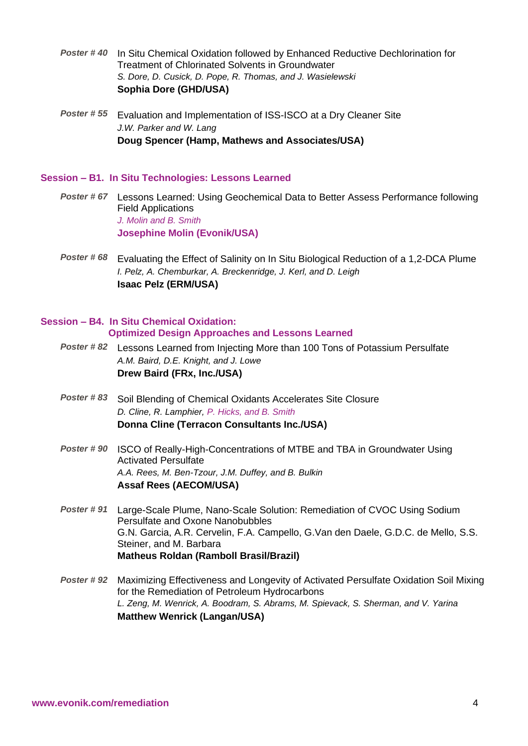- *Poster # 40* In Situ Chemical Oxidation followed by Enhanced Reductive Dechlorination for Treatment of Chlorinated Solvents in Groundwater *S. Dore, D. Cusick, D. Pope, R. Thomas, and J. Wasielewski* **Sophia Dore (GHD/USA)**
- *Poster # 55* Evaluation and Implementation of ISS-ISCO at a Dry Cleaner Site *J.W. Parker and W. Lang* **Doug Spencer (Hamp, Mathews and Associates/USA)**

# **Session – B1. In Situ Technologies: Lessons Learned**

- *Poster # 67* Lessons Learned: Using Geochemical Data to Better Assess Performance following Field Applications *J. Molin and B. Smith* **Josephine Molin (Evonik/USA)**
- *Poster # 68* Evaluating the Effect of Salinity on In Situ Biological Reduction of a 1,2-DCA Plume *I. Pelz, A. Chemburkar, A. Breckenridge, J. Kerl, and D. Leigh* **Isaac Pelz (ERM/USA)**

# **Session – B4. In Situ Chemical Oxidation: Optimized Design Approaches and Lessons Learned**

- *Poster # 82* Lessons Learned from Injecting More than 100 Tons of Potassium Persulfate *A.M. Baird, D.E. Knight, and J. Lowe* **Drew Baird (FRx, Inc./USA)**
- *Poster # 83* Soil Blending of Chemical Oxidants Accelerates Site Closure *D. Cline, R. Lamphier, P. Hicks, and B. Smith* **Donna Cline (Terracon Consultants Inc./USA)**
- *Poster # 90* ISCO of Really-High-Concentrations of MTBE and TBA in Groundwater Using Activated Persulfate *A.A. Rees, M. Ben-Tzour, J.M. Duffey, and B. Bulkin* **Assaf Rees (AECOM/USA)**
- *Poster # 91* Large-Scale Plume, Nano-Scale Solution: Remediation of CVOC Using Sodium Persulfate and Oxone Nanobubbles G.N. Garcia, A.R. Cervelin, F.A. Campello, G.Van den Daele, G.D.C. de Mello, S.S. Steiner, and M. Barbara **Matheus Roldan (Ramboll Brasil/Brazil)**
- *Poster # 92* Maximizing Effectiveness and Longevity of Activated Persulfate Oxidation Soil Mixing for the Remediation of Petroleum Hydrocarbons *L. Zeng, M. Wenrick, A. Boodram, S. Abrams, M. Spievack, S. Sherman, and V. Yarina* **Matthew Wenrick (Langan/USA)**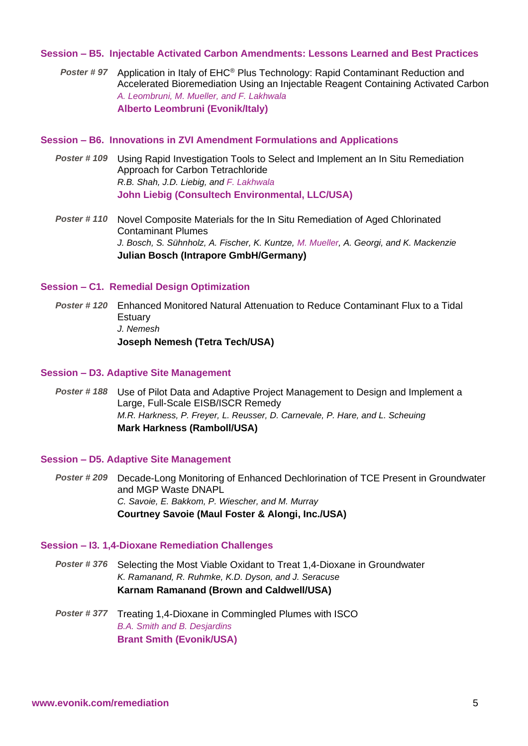# **Session – B5. Injectable Activated Carbon Amendments: Lessons Learned and Best Practices**

*Poster # 97* Application in Italy of EHC® Plus Technology: Rapid Contaminant Reduction and Accelerated Bioremediation Using an Injectable Reagent Containing Activated Carbon *A. Leombruni, M. Mueller, and F. Lakhwala* **Alberto Leombruni (Evonik/Italy)**

# **Session – B6. Innovations in ZVI Amendment Formulations and Applications**

- *Poster # 109* Using Rapid Investigation Tools to Select and Implement an In Situ Remediation Approach for Carbon Tetrachloride *R.B. Shah, J.D. Liebig, and F. Lakhwala* **John Liebig (Consultech Environmental, LLC/USA)**
- *Poster # 110* Novel Composite Materials for the In Situ Remediation of Aged Chlorinated Contaminant Plumes *J. Bosch, S. Sühnholz, A. Fischer, K. Kuntze, M. Mueller, A. Georgi, and K. Mackenzie* **Julian Bosch (Intrapore GmbH/Germany)**

# **Session – C1. Remedial Design Optimization**

*Poster # 120* Enhanced Monitored Natural Attenuation to Reduce Contaminant Flux to a Tidal Estuary *J. Nemesh* **Joseph Nemesh (Tetra Tech/USA)**

#### **Session – D3. Adaptive Site Management**

*Poster # 188* Use of Pilot Data and Adaptive Project Management to Design and Implement a Large, Full-Scale EISB/ISCR Remedy *M.R. Harkness, P. Freyer, L. Reusser, D. Carnevale, P. Hare, and L. Scheuing* **Mark Harkness (Ramboll/USA)**

#### **Session – D5. Adaptive Site Management**

*Poster # 209* Decade-Long Monitoring of Enhanced Dechlorination of TCE Present in Groundwater and MGP Waste DNAPL *C. Savoie, E. Bakkom, P. Wiescher, and M. Murray* **Courtney Savoie (Maul Foster & Alongi, Inc./USA)**

#### **Session – I3. 1,4-Dioxane Remediation Challenges**

*Poster # 376* Selecting the Most Viable Oxidant to Treat 1,4-Dioxane in Groundwater *K. Ramanand, R. Ruhmke, K.D. Dyson, and J. Seracuse* **Karnam Ramanand (Brown and Caldwell/USA)**

*Poster # 377* Treating 1,4-Dioxane in Commingled Plumes with ISCO *B.A. Smith and B. Desjardins* **Brant Smith (Evonik/USA)**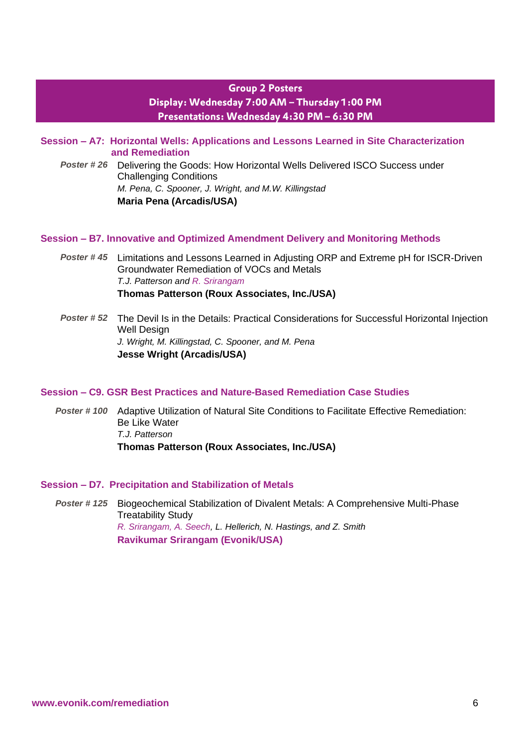# **Group 2 Posters** Display: Wednesday 7:00 AM - Thursday 1:00 PM Presentations: Wednesday 4:30 PM - 6:30 PM

**Session – A7: Horizontal Wells: Applications and Lessons Learned in Site Characterization and Remediation**

*Poster # 26* Delivering the Goods: How Horizontal Wells Delivered ISCO Success under Challenging Conditions *M. Pena, C. Spooner, J. Wright, and M.W. Killingstad* **Maria Pena (Arcadis/USA)**

# **Session – B7. Innovative and Optimized Amendment Delivery and Monitoring Methods**

*Poster # 45* Limitations and Lessons Learned in Adjusting ORP and Extreme pH for ISCR-Driven Groundwater Remediation of VOCs and Metals *T.J. Patterson and R. Srirangam* **Thomas Patterson (Roux Associates, Inc./USA)**

*Poster # 52* The Devil Is in the Details: Practical Considerations for Successful Horizontal Injection Well Design *J. Wright, M. Killingstad, C. Spooner, and M. Pena* **Jesse Wright (Arcadis/USA)**

#### **Session – C9. GSR Best Practices and Nature-Based Remediation Case Studies**

*Poster # 100* Adaptive Utilization of Natural Site Conditions to Facilitate Effective Remediation: Be Like Water *T.J. Patterson* **Thomas Patterson (Roux Associates, Inc./USA)**

#### **Session – D7. Precipitation and Stabilization of Metals**

*Poster # 125* Biogeochemical Stabilization of Divalent Metals: A Comprehensive Multi-Phase Treatability Study *R. Srirangam, A. Seech, L. Hellerich, N. Hastings, and Z. Smith*  **Ravikumar Srirangam (Evonik/USA)**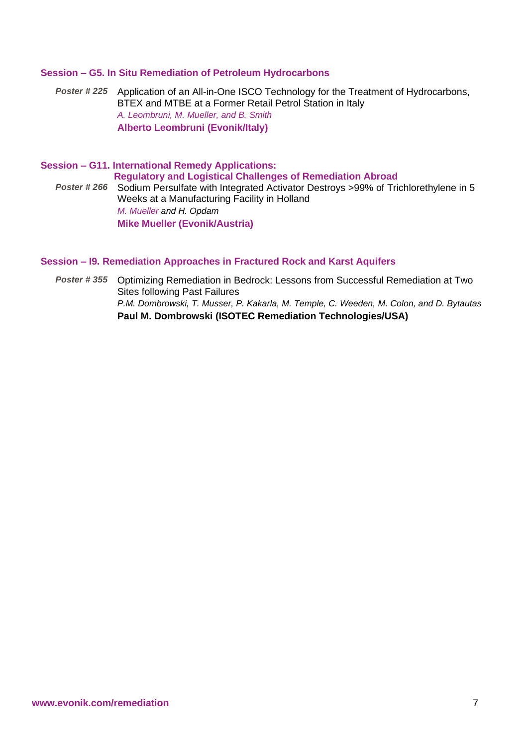# **Session – G5. In Situ Remediation of Petroleum Hydrocarbons**

*Poster # 225* Application of an All-in-One ISCO Technology for the Treatment of Hydrocarbons, BTEX and MTBE at a Former Retail Petrol Station in Italy *A. Leombruni, M. Mueller, and B. Smith* **Alberto Leombruni (Evonik/Italy)**

**Session – G11. International Remedy Applications: Regulatory and Logistical Challenges of Remediation Abroad** *Poster # 266* Sodium Persulfate with Integrated Activator Destroys >99% of Trichlorethylene in 5 Weeks at a Manufacturing Facility in Holland *M. Mueller and H. Opdam* **Mike Mueller (Evonik/Austria)**

#### **Session – I9. Remediation Approaches in Fractured Rock and Karst Aquifers**

*Poster # 355* Optimizing Remediation in Bedrock: Lessons from Successful Remediation at Two Sites following Past Failures *P.M. Dombrowski, T. Musser, P. Kakarla, M. Temple, C. Weeden, M. Colon, and D. Bytautas* **Paul M. Dombrowski (ISOTEC Remediation Technologies/USA)**